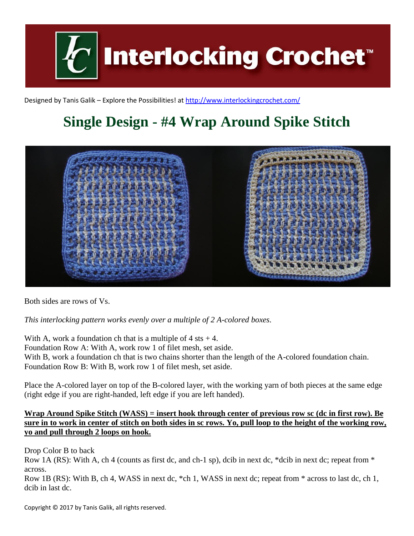

Designed by Tanis Galik – Explore the Possibilities! a[t http://www.interlockingcrochet.com/](http://www.interlockingcrochet.com/)

# **Single Design - #4 Wrap Around Spike Stitch**



Both sides are rows of Vs.

*This interlocking pattern works evenly over a multiple of 2 A-colored boxes.*

With A, work a foundation ch that is a multiple of  $4$  sts  $+ 4$ . Foundation Row A: With A, work row 1 of filet mesh, set aside. With B, work a foundation ch that is two chains shorter than the length of the A-colored foundation chain. Foundation Row B: With B, work row 1 of filet mesh, set aside.

Place the A-colored layer on top of the B-colored layer, with the working yarn of both pieces at the same edge (right edge if you are right-handed, left edge if you are left handed).

#### **Wrap Around Spike Stitch (WASS) = insert hook through center of previous row sc (dc in first row). Be sure in to work in center of stitch on both sides in sc rows. Yo, pull loop to the height of the working row, yo and pull through 2 loops on hook.**

Drop Color B to back

Row 1A (RS): With A, ch 4 (counts as first dc, and ch-1 sp), dcib in next dc, \*dcib in next dc; repeat from \* across.

Row 1B (RS): With B, ch 4, WASS in next dc, \*ch 1, WASS in next dc; repeat from \* across to last dc, ch 1, dcib in last dc.

Copyright © 2017 by Tanis Galik, all rights reserved.